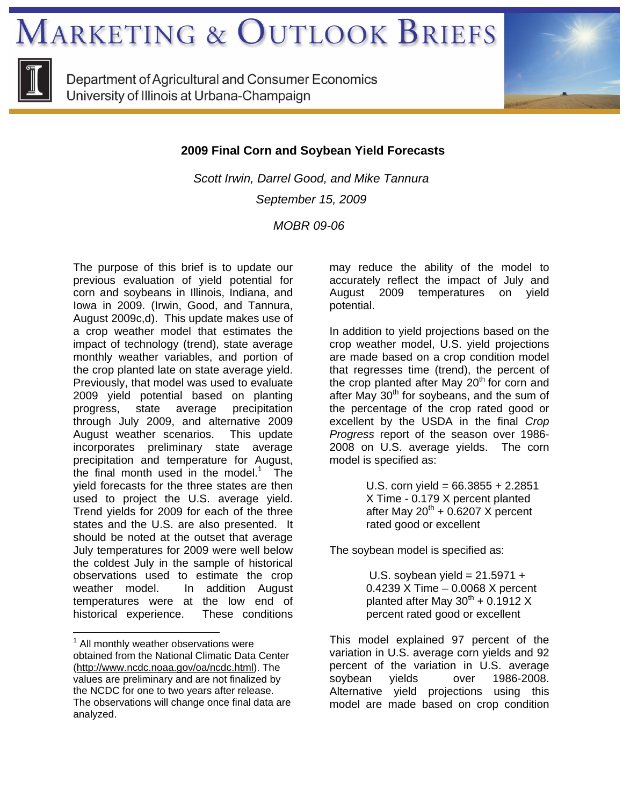**MARKETING & OUTLOOK BRIEFS** 



Department of Agricultural and Consumer Economics University of Illinois at Urbana-Champaign



 **2009 Final Corn and Soybean Yield Forecasts** 

*Scott Irwin, Darrel Good, and Mike Tannura September 15, 2009* 

 *MOBR 09-06* 

The purpose of this brief is to update our previous evaluation of yield potential for corn and soybeans in Illinois, Indiana, and Iowa in 2009. (Irwin, Good, and Tannura, August 2009c,d). This update makes use of a crop weather model that estimates the impact of technology (trend), state average monthly weather variables, and portion of the crop planted late on state average yield. Previously, that model was used to evaluate 2009 yield potential based on planting<br>progress, state average precipitation progress, state average precipitation through July 2009, and alternative 2009 August weather scenarios. This update incorporates preliminary state average precipitation and temperature for August, the final month used in the model.<sup>1</sup> The yield forecasts for the three states are then used to project the U.S. average yield. Trend yields for 2009 for each of the three states and the U.S. are also presented. It should be noted at the outset that average July temperatures for 2009 were well below the coldest July in the sample of historical observations used to estimate the crop weather model. In addition August temperatures were at the low end of historical experience. These conditions

 $\overline{a}$ 

may reduce the ability of the model to accurately reflect the impact of July and August 2009 temperatures on yield potential.

In addition to yield projections based on the crop weather model, U.S. yield projections are made based on a crop condition model that regresses time (trend), the percent of the crop planted after May  $20<sup>th</sup>$  for corn and after May  $30<sup>th</sup>$  for soybeans, and the sum of the percentage of the crop rated good or excellent by the USDA in the final *Crop Progress* report of the season over 1986- 2008 on U.S. average yields. The corn model is specified as:

> U.S. corn yield =  $66.3855 + 2.2851$ X Time - 0.179 X percent planted after May  $20^{th}$  + 0.6207 X percent rated good or excellent

The soybean model is specified as:

U.S. soybean yield =  $21.5971 +$ 0.4239 X Time – 0.0068 X percent planted after May  $30^{th}$  + 0.1912 X percent rated good or excellent

This model explained 97 percent of the variation in U.S. average corn yields and 92 percent of the variation in U.S. average soybean yields over 1986-2008. Alternative yield projections using this model are made based on crop condition

<sup>&</sup>lt;sup>1</sup> All monthly weather observations were obtained from the National Climatic Data Center (http://www.ncdc.noaa.gov/oa/ncdc.html). The values are preliminary and are not finalized by the NCDC for one to two years after release. The observations will change once final data are analyzed.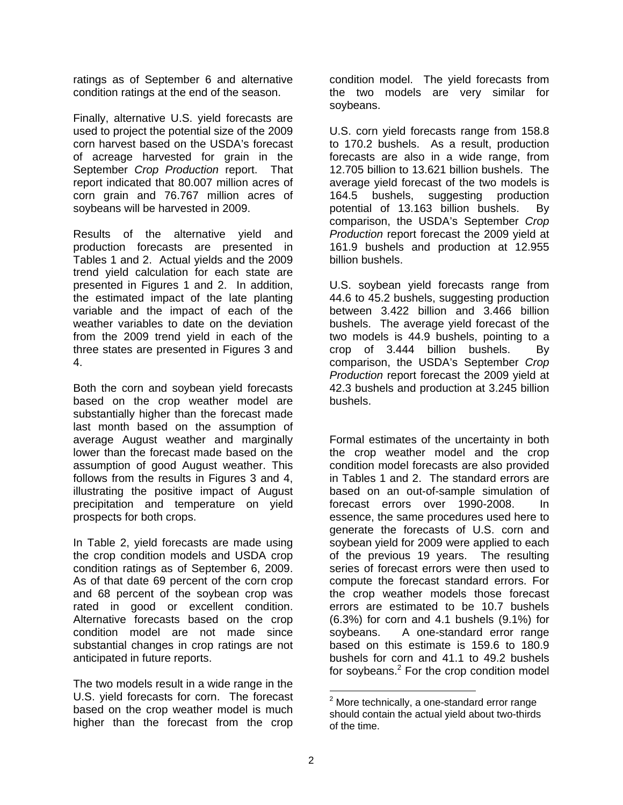ratings as of September 6 and alternative condition ratings at the end of the season.

Finally, alternative U.S. yield forecasts are used to project the potential size of the 2009 corn harvest based on the USDA's forecast of acreage harvested for grain in the September *Crop Production* report. That report indicated that 80.007 million acres of corn grain and 76.767 million acres of soybeans will be harvested in 2009.

Results of the alternative yield and production forecasts are presented in Tables 1 and 2. Actual yields and the 2009 trend yield calculation for each state are presented in Figures 1 and 2. In addition, the estimated impact of the late planting variable and the impact of each of the weather variables to date on the deviation from the 2009 trend yield in each of the three states are presented in Figures 3 and 4.

Both the corn and soybean yield forecasts based on the crop weather model are substantially higher than the forecast made last month based on the assumption of average August weather and marginally lower than the forecast made based on the assumption of good August weather. This follows from the results in Figures 3 and 4, illustrating the positive impact of August precipitation and temperature on yield prospects for both crops.

In Table 2, yield forecasts are made using the crop condition models and USDA crop condition ratings as of September 6, 2009. As of that date 69 percent of the corn crop and 68 percent of the soybean crop was rated in good or excellent condition. Alternative forecasts based on the crop condition model are not made since substantial changes in crop ratings are not anticipated in future reports.

The two models result in a wide range in the U.S. yield forecasts for corn. The forecast based on the crop weather model is much higher than the forecast from the crop

condition model. The yield forecasts from the two models are very similar for soybeans.

U.S. corn yield forecasts range from 158.8 to 170.2 bushels. As a result, production forecasts are also in a wide range, from 12.705 billion to 13.621 billion bushels. The average yield forecast of the two models is 164.5 bushels, suggesting production potential of 13.163 billion bushels. By comparison, the USDA's September *Crop Production* report forecast the 2009 yield at 161.9 bushels and production at 12.955 billion bushels.

U.S. soybean yield forecasts range from 44.6 to 45.2 bushels, suggesting production between 3.422 billion and 3.466 billion bushels. The average yield forecast of the two models is 44.9 bushels, pointing to a crop of 3.444 billion bushels. By comparison, the USDA's September *Crop Production* report forecast the 2009 yield at 42.3 bushels and production at 3.245 billion bushels.

Formal estimates of the uncertainty in both the crop weather model and the crop condition model forecasts are also provided in Tables 1 and 2. The standard errors are based on an out-of-sample simulation of forecast errors over 1990-2008. In essence, the same procedures used here to generate the forecasts of U.S. corn and soybean yield for 2009 were applied to each of the previous 19 years. The resulting series of forecast errors were then used to compute the forecast standard errors. For the crop weather models those forecast errors are estimated to be 10.7 bushels (6.3%) for corn and 4.1 bushels (9.1%) for soybeans. A one-standard error range based on this estimate is 159.6 to 180.9 bushels for corn and 41.1 to 49.2 bushels for soybeans.<sup>2</sup> For the crop condition model

 $\overline{a}$  $2$  More technically, a one-standard error range should contain the actual yield about two-thirds of the time.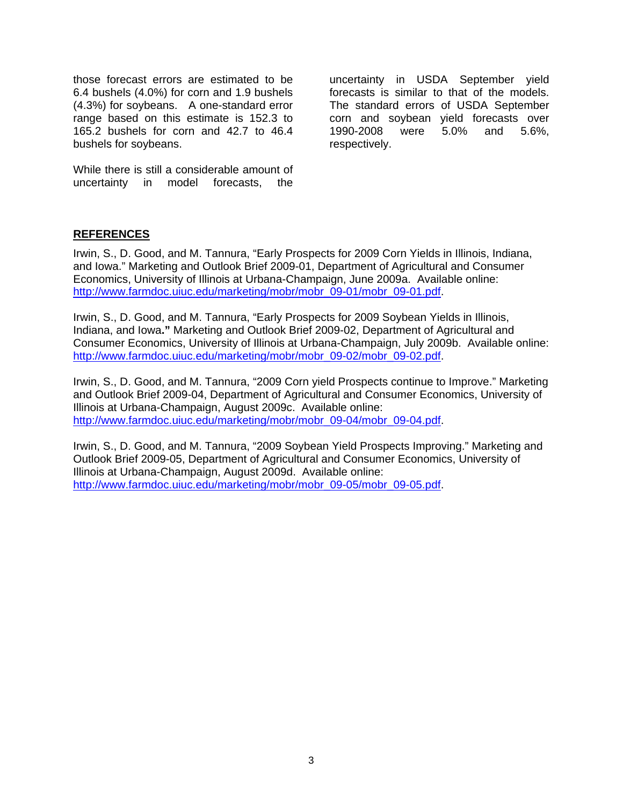those forecast errors are estimated to be 6.4 bushels (4.0%) for corn and 1.9 bushels (4.3%) for soybeans. A one-standard error range based on this estimate is 152.3 to 165.2 bushels for corn and 42.7 to 46.4 bushels for soybeans.

While there is still a considerable amount of uncertainty in model forecasts, the

uncertainty in USDA September yield forecasts is similar to that of the models. The standard errors of USDA September corn and soybean yield forecasts over 1990-2008 were 5.0% and 5.6%, respectively.

## **REFERENCES**

Irwin, S., D. Good, and M. Tannura, "Early Prospects for 2009 Corn Yields in Illinois, Indiana, and Iowa." Marketing and Outlook Brief 2009-01, Department of Agricultural and Consumer Economics, University of Illinois at Urbana-Champaign, June 2009a. Available online: http://www.farmdoc.uiuc.edu/marketing/mobr/mobr\_09-01/mobr\_09-01.pdf.

Irwin, S., D. Good, and M. Tannura, "Early Prospects for 2009 Soybean Yields in Illinois, Indiana, and Iowa**."** Marketing and Outlook Brief 2009-02, Department of Agricultural and Consumer Economics, University of Illinois at Urbana-Champaign, July 2009b. Available online: http://www.farmdoc.uiuc.edu/marketing/mobr/mobr\_09-02/mobr\_09-02.pdf.

Irwin, S., D. Good, and M. Tannura, "2009 Corn yield Prospects continue to Improve." Marketing and Outlook Brief 2009-04, Department of Agricultural and Consumer Economics, University of Illinois at Urbana-Champaign, August 2009c. Available online: http://www.farmdoc.uiuc.edu/marketing/mobr/mobr\_09-04/mobr\_09-04.pdf.

Irwin, S., D. Good, and M. Tannura, "2009 Soybean Yield Prospects Improving." Marketing and Outlook Brief 2009-05, Department of Agricultural and Consumer Economics, University of Illinois at Urbana-Champaign, August 2009d. Available online: http://www.farmdoc.uiuc.edu/marketing/mobr/mobr\_09-05/mobr\_09-05.pdf.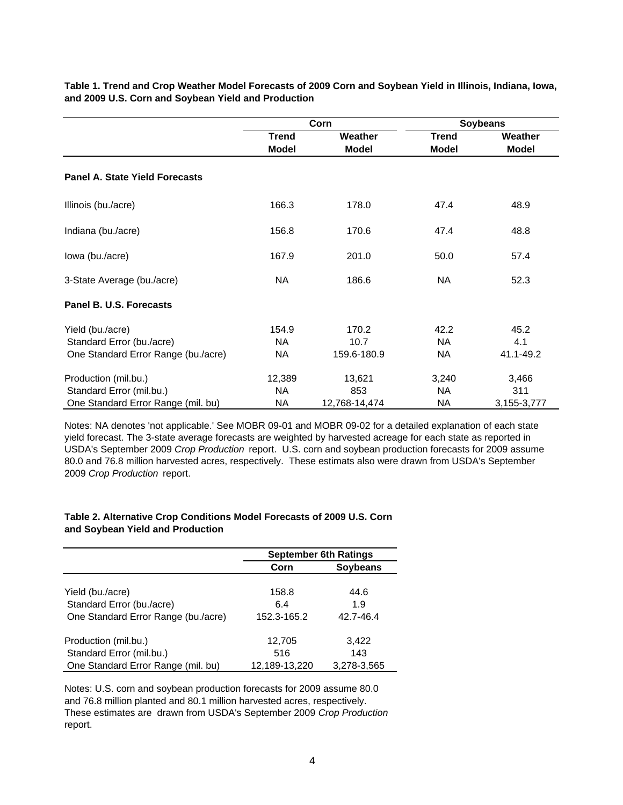|                                       |              | Corn          | <b>Soybeans</b> |              |
|---------------------------------------|--------------|---------------|-----------------|--------------|
|                                       | <b>Trend</b> | Weather       | <b>Trend</b>    | Weather      |
|                                       | <b>Model</b> | <b>Model</b>  | <b>Model</b>    | <b>Model</b> |
| <b>Panel A. State Yield Forecasts</b> |              |               |                 |              |
| Illinois (bu./acre)                   | 166.3        | 178.0         | 47.4            | 48.9         |
| Indiana (bu./acre)                    | 156.8        | 170.6         | 47.4            | 48.8         |
| lowa (bu./acre)                       | 167.9        | 201.0         | 50.0            | 57.4         |
| 3-State Average (bu./acre)            | NA           | 186.6         | NA              | 52.3         |
| Panel B. U.S. Forecasts               |              |               |                 |              |
| Yield (bu./acre)                      | 154.9        | 170.2         | 42.2            | 45.2         |
| Standard Error (bu./acre)             | <b>NA</b>    | 10.7          | <b>NA</b>       | 4.1          |
| One Standard Error Range (bu./acre)   | NA           | 159.6-180.9   | <b>NA</b>       | 41.1-49.2    |
| Production (mil.bu.)                  | 12,389       | 13,621        | 3,240           | 3,466        |
| Standard Error (mil.bu.)              | NA           | 853           | <b>NA</b>       | 311          |
| One Standard Error Range (mil. bu)    | NA           | 12,768-14,474 | NА              | 3,155-3,777  |

**Table 1. Trend and Crop Weather Model Forecasts of 2009 Corn and Soybean Yield in Illinois, Indiana, Iowa, and 2009 U.S. Corn and Soybean Yield and Production**

Notes: NA denotes 'not applicable.' See MOBR 09-01 and MOBR 09-02 for a detailed explanation of each state yield forecast. The 3-state average forecasts are weighted by harvested acreage for each state as reported in USDA's September 2009 *Crop Production* report. U.S. corn and soybean production forecasts for 2009 assume 80.0 and 76.8 million harvested acres, respectively. These estimats also were drawn from USDA's September 2009 *Crop Production* report.

## **Table 2. Alternative Crop Conditions Model Forecasts of 2009 U.S. Corn and Soybean Yield and Production**

|                                     | <b>September 6th Ratings</b> |                 |  |
|-------------------------------------|------------------------------|-----------------|--|
|                                     | Corn                         | <b>Soybeans</b> |  |
| Yield (bu./acre)                    | 158.8                        | 44.6            |  |
| Standard Error (bu./acre)           | 6.4                          | 1.9             |  |
| One Standard Error Range (bu./acre) | 152.3-165.2                  | 42.7-46.4       |  |
| Production (mil.bu.)                | 12,705                       | 3,422           |  |
| Standard Error (mil.bu.)            | 516                          | 143             |  |
| One Standard Error Range (mil. bu)  | 12,189-13,220                | 3,278-3,565     |  |

Notes: U.S. corn and soybean production forecasts for 2009 assume 80.0 and 76.8 million planted and 80.1 million harvested acres, respectively. These estimates are drawn from USDA's September 2009 *Crop Production*  report.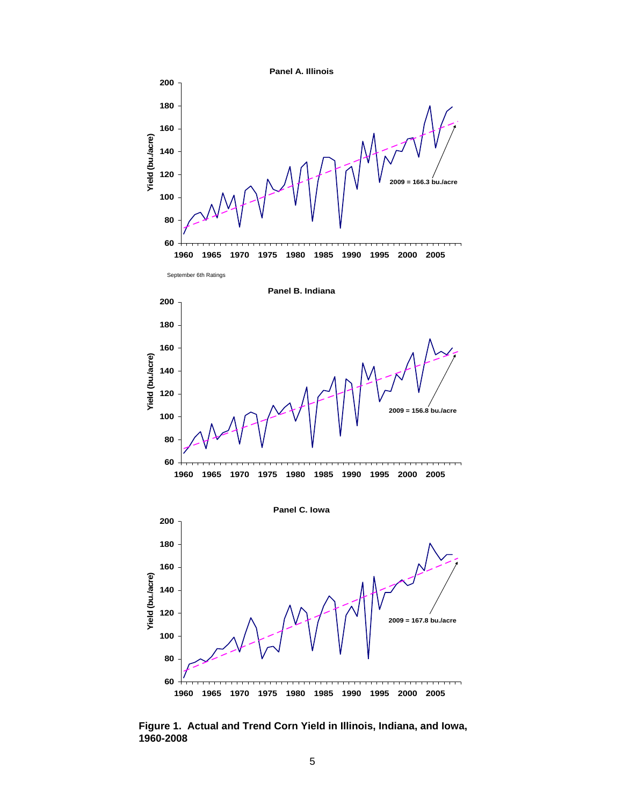

**Figure 1. Actual and Trend Corn Yield in Illinois, Indiana, and Iowa, 1960-2008**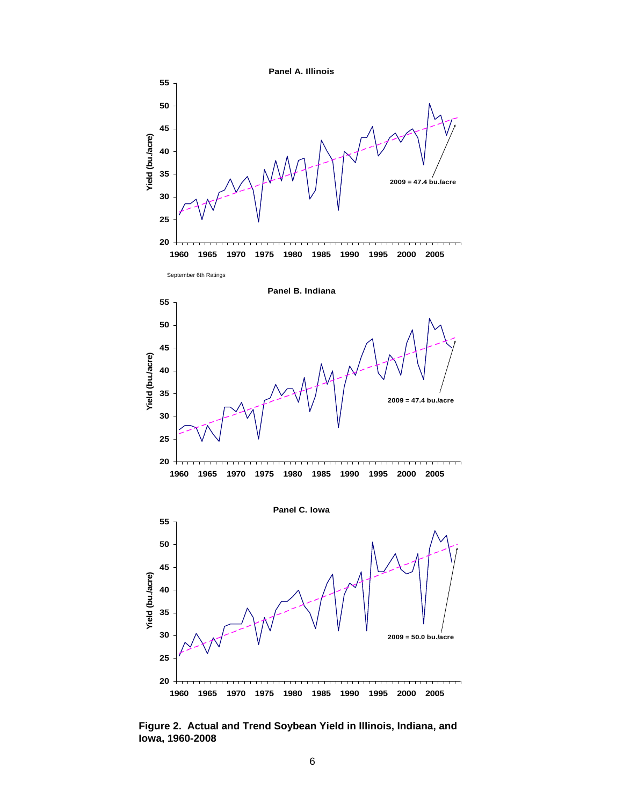

**Figure 2. Actual and Trend Soybean Yield in Illinois, Indiana, and Iowa, 1960-2008**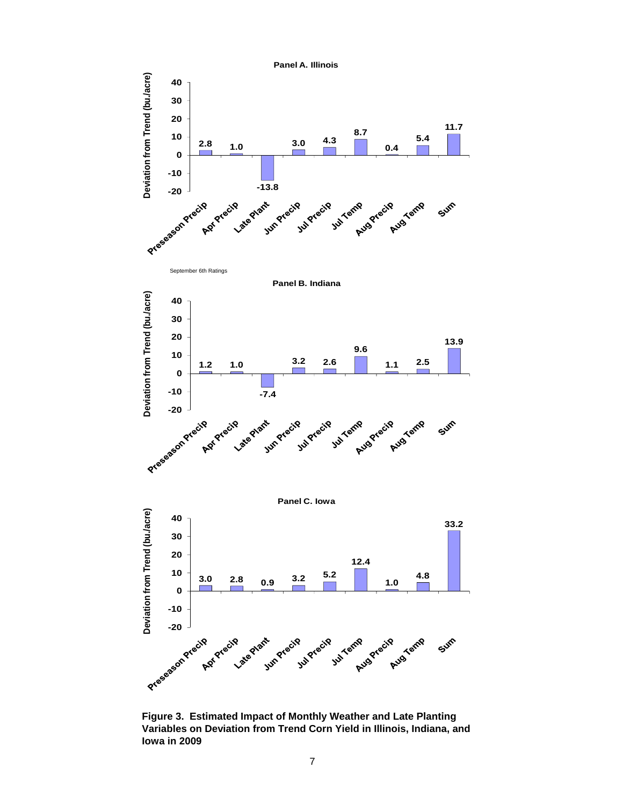

**Figure 3. Estimated Impact of Monthly Weather and Late Planting Variables on Deviation from Trend Corn Yield in Illinois, Indiana, and Iowa in 2009**